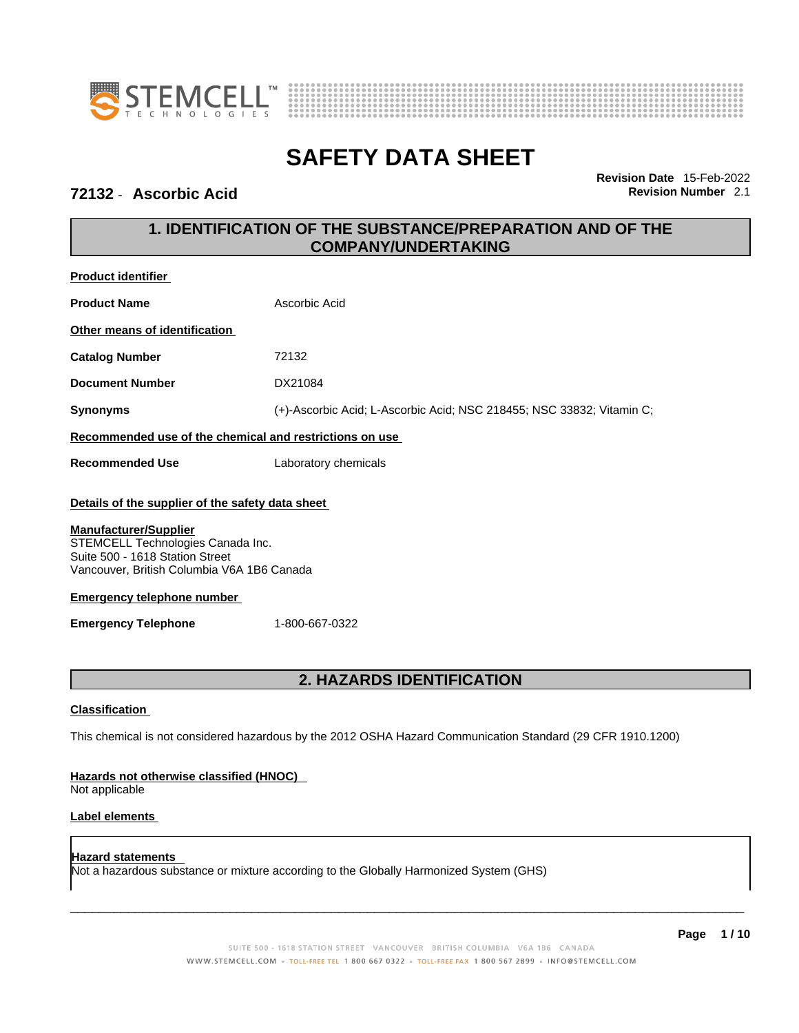



### **72132** - **Ascorbic Acid Revision Number** 2.1

**Revision Date** 15-Feb-2022

# **1. IDENTIFICATION OF THE SUBSTANCE/PREPARATION AND OF THE COMPANY/UNDERTAKING**

| <b>Product identifier</b>                                                                                                                          |                                                                       |  |  |
|----------------------------------------------------------------------------------------------------------------------------------------------------|-----------------------------------------------------------------------|--|--|
| <b>Product Name</b>                                                                                                                                | Ascorbic Acid                                                         |  |  |
| Other means of identification                                                                                                                      |                                                                       |  |  |
| <b>Catalog Number</b>                                                                                                                              | 72132                                                                 |  |  |
| <b>Document Number</b>                                                                                                                             | DX21084                                                               |  |  |
| <b>Synonyms</b>                                                                                                                                    | (+)-Ascorbic Acid; L-Ascorbic Acid; NSC 218455; NSC 33832; Vitamin C; |  |  |
| Recommended use of the chemical and restrictions on use                                                                                            |                                                                       |  |  |
| <b>Recommended Use</b>                                                                                                                             | Laboratory chemicals                                                  |  |  |
| Details of the supplier of the safety data sheet                                                                                                   |                                                                       |  |  |
| <b>Manufacturer/Supplier</b><br>STEMCELL Technologies Canada Inc.<br>Suite 500 - 1618 Station Street<br>Vancouver, British Columbia V6A 1B6 Canada |                                                                       |  |  |
| <b>Emergency telephone number</b>                                                                                                                  |                                                                       |  |  |
| <b>Emergency Telephone</b>                                                                                                                         | 1-800-667-0322                                                        |  |  |

### **2. HAZARDS IDENTIFICATION**

#### **Classification**

This chemical is not considered hazardous by the 2012 OSHA Hazard Communication Standard (29 CFR 1910.1200)

#### **Hazards not otherwise classified (HNOC)**

Not applicable

#### **Label elements**

**Hazard statements**  Not a hazardous substance or mixture according to the Globally Harmonized System (GHS)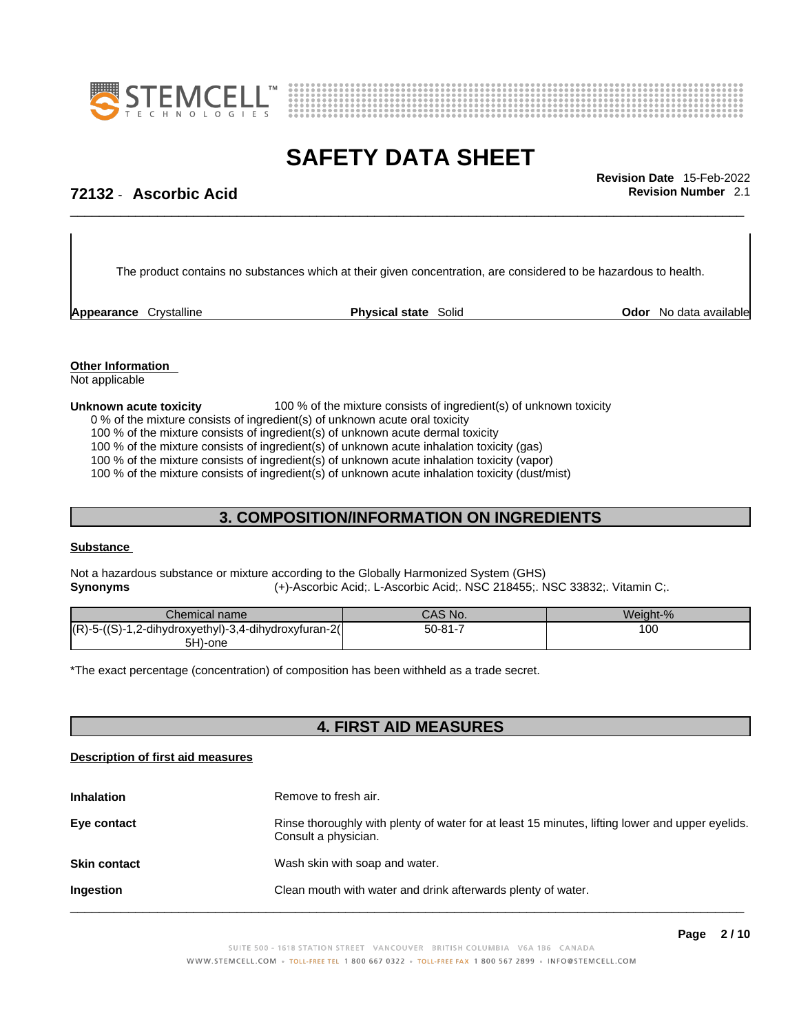



\_\_\_\_\_\_\_\_\_\_\_\_\_\_\_\_\_\_\_\_\_\_\_\_\_\_\_\_\_\_\_\_\_\_\_\_\_\_\_\_\_\_\_\_\_\_\_\_\_\_\_\_\_\_\_\_\_\_\_\_\_\_\_\_\_\_\_\_\_\_\_\_\_\_\_\_\_\_\_\_\_\_\_\_\_\_\_\_\_\_\_\_\_ **Revision Date** 15-Feb-2022

# **72132** - **Ascorbic Acid Revision Number** 2.1

The product contains no substances which at their given concentration, are considered to be hazardous to health.

**Appearance** Crystalline **Physical state** Solid **Odor** No data available

**Other Information** 

# Not applicable

#### **Unknown acute toxicity** 100 % of the mixture consists of ingredient(s) of unknown toxicity

- 0 % of the mixture consists of ingredient(s) of unknown acute oral toxicity
- 100 % of the mixture consists of ingredient(s) of unknown acute dermal toxicity
- 100 % of the mixture consists of ingredient(s) of unknown acute inhalation toxicity (gas)
- 100 % of the mixture consists of ingredient(s) of unknown acute inhalation toxicity (vapor)

100 % of the mixture consists of ingredient(s) of unknown acute inhalation toxicity (dust/mist)

### **3. COMPOSITION/INFORMATION ON INGREDIENTS**

#### **Substance**

Not a hazardous substance or mixture according to the Globally Harmonized System (GHS) **Synonyms** (+)-Ascorbic Acid;. L-Ascorbic Acid;. NSC 218455;. NSC 33832;. Vitamin C;.

| Chemical name                                                 | CAS No.            | Weight-% |
|---------------------------------------------------------------|--------------------|----------|
| $(R)-5-(S)-1,2-$<br>i,2-dihydroxyethyl)-3,4-dihydroxyfuran-2( | -<br>$50 - 81 - 7$ | 100      |
| 5H)-one                                                       |                    |          |

\*The exact percentage (concentration) of composition has been withheld as a trade secret.

### **4. FIRST AID MEASURES**

#### **Description of first aid measures**

| <b>Inhalation</b>   | Remove to fresh air.                                                                                                    |
|---------------------|-------------------------------------------------------------------------------------------------------------------------|
| Eye contact         | Rinse thoroughly with plenty of water for at least 15 minutes, lifting lower and upper eyelids.<br>Consult a physician. |
| <b>Skin contact</b> | Wash skin with soap and water.                                                                                          |
| <b>Ingestion</b>    | Clean mouth with water and drink afterwards plenty of water.                                                            |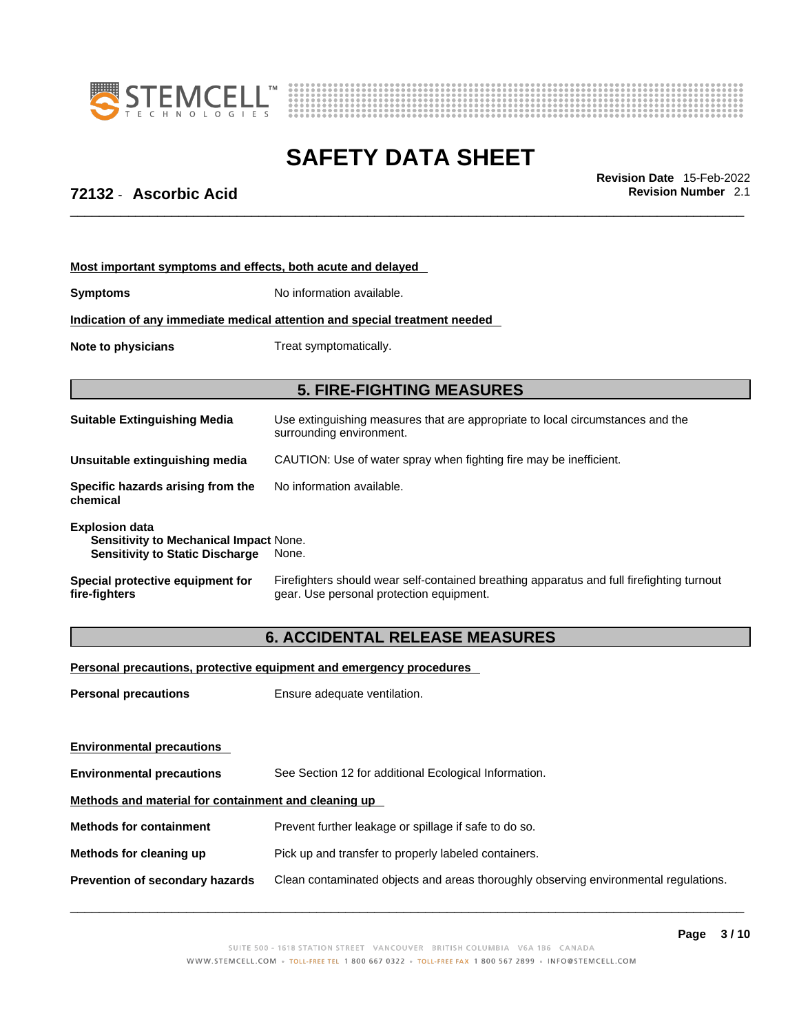



\_\_\_\_\_\_\_\_\_\_\_\_\_\_\_\_\_\_\_\_\_\_\_\_\_\_\_\_\_\_\_\_\_\_\_\_\_\_\_\_\_\_\_\_\_\_\_\_\_\_\_\_\_\_\_\_\_\_\_\_\_\_\_\_\_\_\_\_\_\_\_\_\_\_\_\_\_\_\_\_\_\_\_\_\_\_\_\_\_\_\_\_\_ **Revision Date** 15-Feb-2022

# **72132** - **Ascorbic Acid Revision Number** 2.1

| Note to physicians                                                                                               | marcation or any mimealate mealoal attention and special treatment necaed<br>Treat symptomatically.                                   |
|------------------------------------------------------------------------------------------------------------------|---------------------------------------------------------------------------------------------------------------------------------------|
|                                                                                                                  |                                                                                                                                       |
|                                                                                                                  | <b>5. FIRE-FIGHTING MEASURES</b>                                                                                                      |
| <b>Suitable Extinguishing Media</b>                                                                              | Use extinguishing measures that are appropriate to local circumstances and the<br>surrounding environment.                            |
| Unsuitable extinguishing media                                                                                   | CAUTION: Use of water spray when fighting fire may be inefficient.                                                                    |
| Specific hazards arising from the<br>chemical                                                                    | No information available.                                                                                                             |
| <b>Explosion data</b><br><b>Sensitivity to Mechanical Impact None.</b><br><b>Sensitivity to Static Discharge</b> | None.                                                                                                                                 |
| Special protective equipment for<br>fire-fighters                                                                | Firefighters should wear self-contained breathing apparatus and full firefighting turnout<br>gear. Use personal protection equipment. |

### **6. ACCIDENTAL RELEASE MEASURES**

**Personal precautions, protective equipment and emergency procedures**

**Personal precautions** Ensure adequate ventilation.

**Most important symptoms and effects, both acute and delayed**

**Indication of any immediate medical attention and special treatment needed**

**Symptoms** No information available.

**Environmental precautions Environmental precautions** See Section 12 for additional Ecological Information. **Methods and material for containment and cleaning up Methods for containment** Prevent further leakage or spillage if safe to do so. **Methods for cleaning up** Pick up and transfer to properly labeled containers. **Prevention of secondary hazards** Clean contaminated objects and areas thoroughly observing environmental regulations.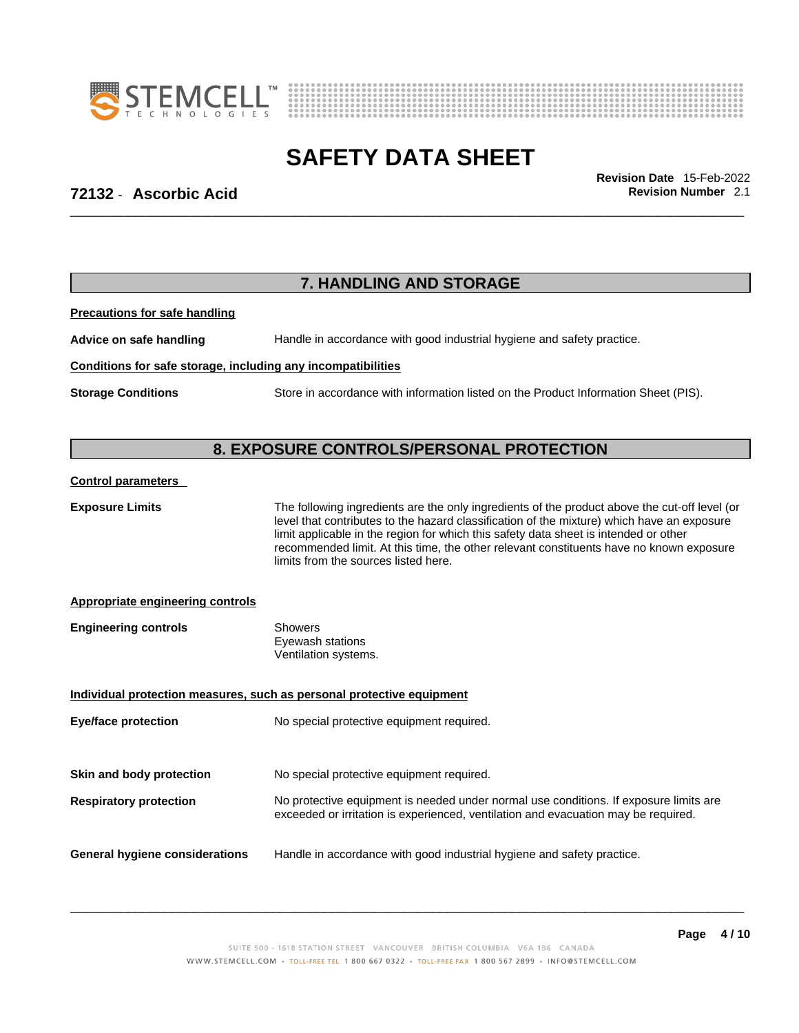



\_\_\_\_\_\_\_\_\_\_\_\_\_\_\_\_\_\_\_\_\_\_\_\_\_\_\_\_\_\_\_\_\_\_\_\_\_\_\_\_\_\_\_\_\_\_\_\_\_\_\_\_\_\_\_\_\_\_\_\_\_\_\_\_\_\_\_\_\_\_\_\_\_\_\_\_\_\_\_\_\_\_\_\_\_\_\_\_\_\_\_\_\_ **Revision Date** 15-Feb-2022

# **72132** - **Ascorbic Acid Revision Number** 2.1

| Conditions for safe storage, including any incompatibilities                                                                                                                                                                                                                                                                                                                   |  |  |
|--------------------------------------------------------------------------------------------------------------------------------------------------------------------------------------------------------------------------------------------------------------------------------------------------------------------------------------------------------------------------------|--|--|
| Store in accordance with information listed on the Product Information Sheet (PIS).                                                                                                                                                                                                                                                                                            |  |  |
|                                                                                                                                                                                                                                                                                                                                                                                |  |  |
|                                                                                                                                                                                                                                                                                                                                                                                |  |  |
|                                                                                                                                                                                                                                                                                                                                                                                |  |  |
| The following ingredients are the only ingredients of the product above the cut-off level (or<br>level that contributes to the hazard classification of the mixture) which have an exposure<br>limit applicable in the region for which this safety data sheet is intended or other<br>recommended limit. At this time, the other relevant constituents have no known exposure |  |  |
|                                                                                                                                                                                                                                                                                                                                                                                |  |  |
|                                                                                                                                                                                                                                                                                                                                                                                |  |  |
|                                                                                                                                                                                                                                                                                                                                                                                |  |  |
|                                                                                                                                                                                                                                                                                                                                                                                |  |  |
|                                                                                                                                                                                                                                                                                                                                                                                |  |  |
| No protective equipment is needed under normal use conditions. If exposure limits are<br>exceeded or irritation is experienced, ventilation and evacuation may be required.                                                                                                                                                                                                    |  |  |
|                                                                                                                                                                                                                                                                                                                                                                                |  |  |
|                                                                                                                                                                                                                                                                                                                                                                                |  |  |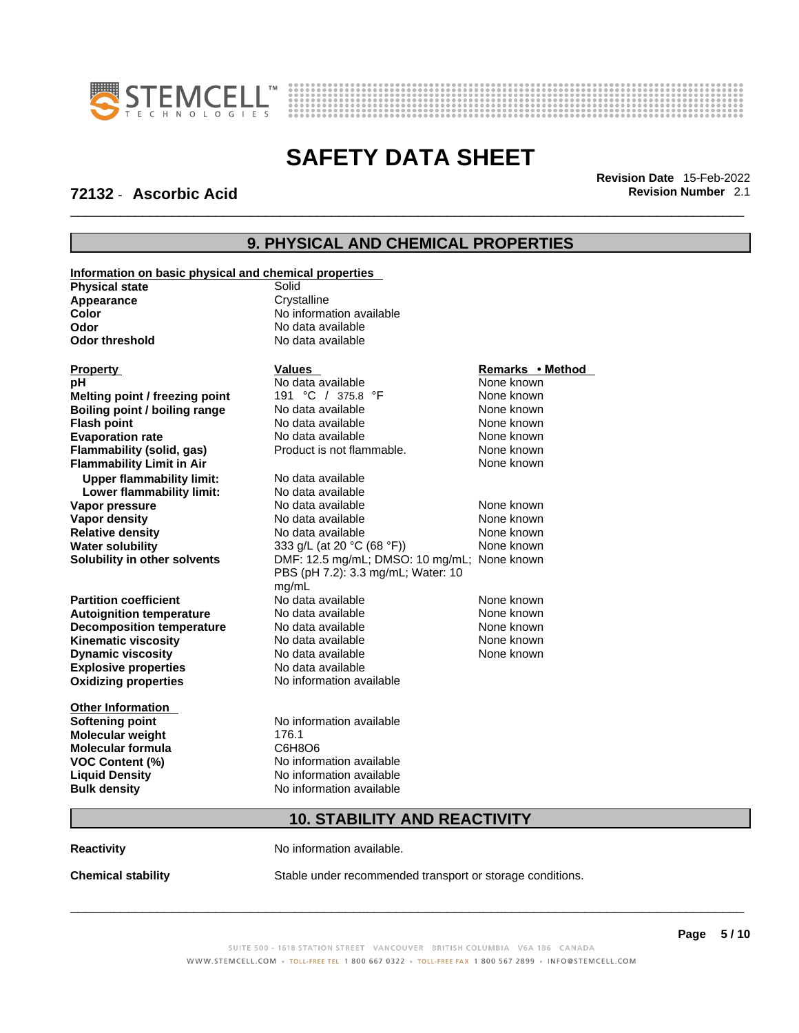



\_\_\_\_\_\_\_\_\_\_\_\_\_\_\_\_\_\_\_\_\_\_\_\_\_\_\_\_\_\_\_\_\_\_\_\_\_\_\_\_\_\_\_\_\_\_\_\_\_\_\_\_\_\_\_\_\_\_\_\_\_\_\_\_\_\_\_\_\_\_\_\_\_\_\_\_\_\_\_\_\_\_\_\_\_\_\_\_\_\_\_\_\_ **Revision Date** 15-Feb-2022

# **72132** - **Ascorbic Acid Revision Number** 2.1

# **9. PHYSICAL AND CHEMICAL PROPERTIES**

| Information on basic physical and chemical properties |                                             |                  |  |
|-------------------------------------------------------|---------------------------------------------|------------------|--|
| <b>Physical state</b>                                 | Solid                                       |                  |  |
| Appearance                                            | Crystalline                                 |                  |  |
| Color                                                 | No information available                    |                  |  |
| Odor                                                  | No data available                           |                  |  |
| <b>Odor threshold</b>                                 | No data available                           |                  |  |
|                                                       |                                             |                  |  |
| <b>Property</b>                                       | <b>Values</b>                               | Remarks • Method |  |
| рH                                                    | No data available                           | None known       |  |
| Melting point / freezing point                        | 191 °C / 375.8 °F                           | None known       |  |
| Boiling point / boiling range                         | No data available                           | None known       |  |
| <b>Flash point</b>                                    | No data available                           | None known       |  |
| <b>Evaporation rate</b>                               | No data available                           | None known       |  |
| <b>Flammability (solid, gas)</b>                      | Product is not flammable.                   | None known       |  |
| <b>Flammability Limit in Air</b>                      |                                             | None known       |  |
| <b>Upper flammability limit:</b>                      | No data available                           |                  |  |
| Lower flammability limit:                             | No data available                           |                  |  |
| Vapor pressure                                        | No data available                           | None known       |  |
| Vapor density                                         | No data available                           | None known       |  |
| <b>Relative density</b>                               | No data available                           | None known       |  |
| <b>Water solubility</b>                               | 333 g/L (at 20 °C (68 °F))                  | None known       |  |
| Solubility in other solvents                          | DMF: 12.5 mg/mL; DMSO: 10 mg/mL; None known |                  |  |
|                                                       | PBS (pH 7.2): 3.3 mg/mL; Water: 10          |                  |  |
|                                                       | mg/ml                                       |                  |  |
| <b>Partition coefficient</b>                          | No data available                           | None known       |  |
| <b>Autoignition temperature</b>                       | No data available                           | None known       |  |
| <b>Decomposition temperature</b>                      | No data available                           | None known       |  |
| <b>Kinematic viscosity</b>                            | No data available                           | None known       |  |
| <b>Dynamic viscosity</b>                              | No data available                           | None known       |  |
| <b>Explosive properties</b>                           | No data available                           |                  |  |
| <b>Oxidizing properties</b>                           | No information available                    |                  |  |
|                                                       |                                             |                  |  |
| <b>Other Information</b>                              |                                             |                  |  |
| <b>Softening point</b>                                | No information available                    |                  |  |
| <b>Molecular weight</b>                               | 176.1                                       |                  |  |
| <b>Molecular formula</b>                              | C6H8O6                                      |                  |  |
| <b>VOC Content (%)</b>                                | No information available                    |                  |  |
| <b>Liquid Density</b>                                 | No information available                    |                  |  |
| <b>Bulk density</b>                                   | No information available                    |                  |  |
|                                                       |                                             |                  |  |
|                                                       | <b>10. STABILITY AND REACTIVITY</b>         |                  |  |
|                                                       |                                             |                  |  |
| <b>Reactivity</b>                                     | No information available.                   |                  |  |
|                                                       |                                             |                  |  |

 $\_$  ,  $\_$  ,  $\_$  ,  $\_$  ,  $\_$  ,  $\_$  ,  $\_$  ,  $\_$  ,  $\_$  ,  $\_$  ,  $\_$  ,  $\_$  ,  $\_$  ,  $\_$  ,  $\_$  ,  $\_$  ,  $\_$  ,  $\_$  ,  $\_$  ,  $\_$  ,  $\_$  ,  $\_$  ,  $\_$  ,  $\_$  ,  $\_$  ,  $\_$  ,  $\_$  ,  $\_$  ,  $\_$  ,  $\_$  ,  $\_$  ,  $\_$  ,  $\_$  ,  $\_$  ,  $\_$  ,  $\_$  ,  $\_$  ,

**Chemical stability** Stable under recommended transport or storage conditions.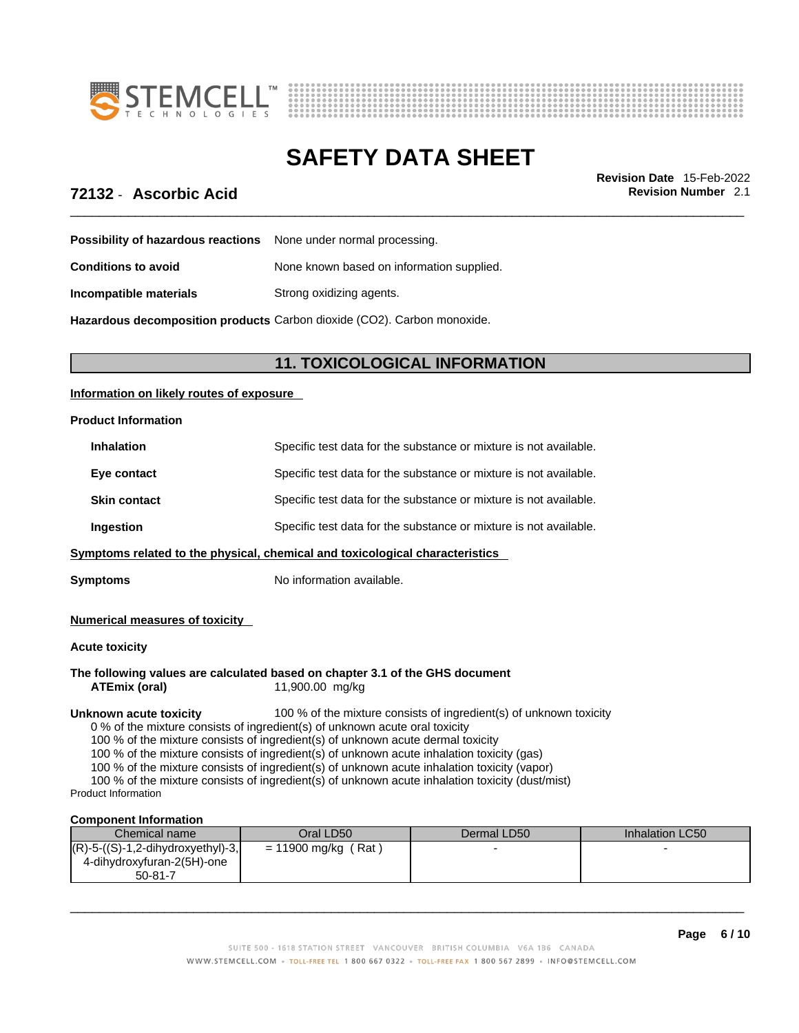



\_\_\_\_\_\_\_\_\_\_\_\_\_\_\_\_\_\_\_\_\_\_\_\_\_\_\_\_\_\_\_\_\_\_\_\_\_\_\_\_\_\_\_\_\_\_\_\_\_\_\_\_\_\_\_\_\_\_\_\_\_\_\_\_\_\_\_\_\_\_\_\_\_\_\_\_\_\_\_\_\_\_\_\_\_\_\_\_\_\_\_\_\_ **Revision Date** 15-Feb-2022

# **72132** - **Ascorbic Acid Revision Number** 2.1

**Possibility of hazardous reactions** None under normal processing. **Conditions to avoid** None known based on information supplied. **Incompatible materials** Strong oxidizing agents.

**Hazardous decomposition products** Carbon dioxide (CO2). Carbon monoxide.

### **11. TOXICOLOGICAL INFORMATION**

#### **Information on likely routes of exposure**

| <b>Product Information</b>            |                                                                                                 |
|---------------------------------------|-------------------------------------------------------------------------------------------------|
| <b>Inhalation</b>                     | Specific test data for the substance or mixture is not available.                               |
| Eye contact                           | Specific test data for the substance or mixture is not available.                               |
| <b>Skin contact</b>                   | Specific test data for the substance or mixture is not available.                               |
| Ingestion                             | Specific test data for the substance or mixture is not available.                               |
|                                       | Symptoms related to the physical, chemical and toxicological characteristics                    |
| Symptoms                              | No information available.                                                                       |
| <b>Numerical measures of toxicity</b> |                                                                                                 |
| <b>Acute toxicity</b>                 |                                                                                                 |
| ATEmix (oral)                         | The following values are calculated based on chapter 3.1 of the GHS document<br>11,900.00 mg/kg |

**Unknown acute toxicity** 100 % of the mixture consists of ingredient(s) of unknown toxicity

0 % of the mixture consists of ingredient(s) of unknown acute oral toxicity

100 % of the mixture consists of ingredient(s) of unknown acute dermal toxicity

100 % of the mixture consists of ingredient(s) of unknown acute inhalation toxicity (gas)

100 % of the mixture consists of ingredient(s) of unknown acute inhalation toxicity (vapor)

100 % of the mixture consists of ingredient(s) of unknown acute inhalation toxicity (dust/mist)

Product Information

#### **Component Information**

| Chemical name                       | Oral LD50            | Dermal LD50 | <b>Inhalation LC50</b> |
|-------------------------------------|----------------------|-------------|------------------------|
| $(R)-5-((S)-1,2-dihydroxyethyl)-3,$ | = 11900 mg/kg<br>Rat |             |                        |
| 4-dihydroxyfuran-2(5H)-one          |                      |             |                        |
| $50 - 81 - 7$                       |                      |             |                        |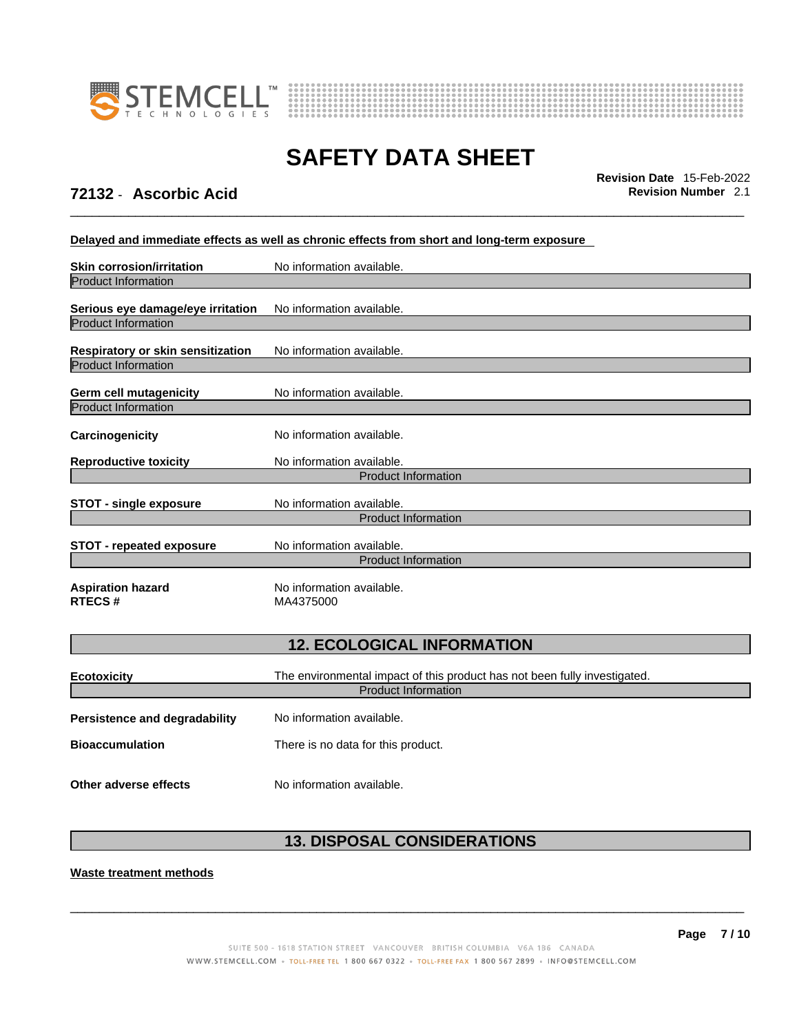



\_\_\_\_\_\_\_\_\_\_\_\_\_\_\_\_\_\_\_\_\_\_\_\_\_\_\_\_\_\_\_\_\_\_\_\_\_\_\_\_\_\_\_\_\_\_\_\_\_\_\_\_\_\_\_\_\_\_\_\_\_\_\_\_\_\_\_\_\_\_\_\_\_\_\_\_\_\_\_\_\_\_\_\_\_\_\_\_\_\_\_\_\_ **Revision Date** 15-Feb-2022

# **72132** - **Ascorbic Acid Revision Number** 2.1

**Delayed and immediate effects as well as chronic effects from short and long-term exposure**

| <b>Skin corrosion/irritation</b>                                | No information available.                                                 |
|-----------------------------------------------------------------|---------------------------------------------------------------------------|
| <b>Product Information</b>                                      |                                                                           |
| Serious eye damage/eye irritation<br><b>Product Information</b> | No information available.                                                 |
| Respiratory or skin sensitization<br><b>Product Information</b> | No information available.                                                 |
| <b>Germ cell mutagenicity</b><br><b>Product Information</b>     | No information available.                                                 |
| Carcinogenicity                                                 | No information available.                                                 |
| <b>Reproductive toxicity</b>                                    | No information available.                                                 |
|                                                                 | <b>Product Information</b>                                                |
| <b>STOT - single exposure</b>                                   | No information available.                                                 |
|                                                                 | <b>Product Information</b>                                                |
| <b>STOT - repeated exposure</b>                                 | No information available.                                                 |
|                                                                 | <b>Product Information</b>                                                |
| <b>Aspiration hazard</b><br><b>RTECS#</b>                       | No information available.<br>MA4375000                                    |
|                                                                 | <b>12. ECOLOGICAL INFORMATION</b>                                         |
| <b>Ecotoxicity</b>                                              | The environmental impact of this product has not been fully investigated. |
|                                                                 | <b>Product Information</b>                                                |
| Persistence and degradability                                   | No information available.                                                 |
| <b>Bioaccumulation</b>                                          | There is no data for this product.                                        |
| Other adverse effects                                           | No information available.                                                 |

# **13. DISPOSAL CONSIDERATIONS**

**Waste treatment methods**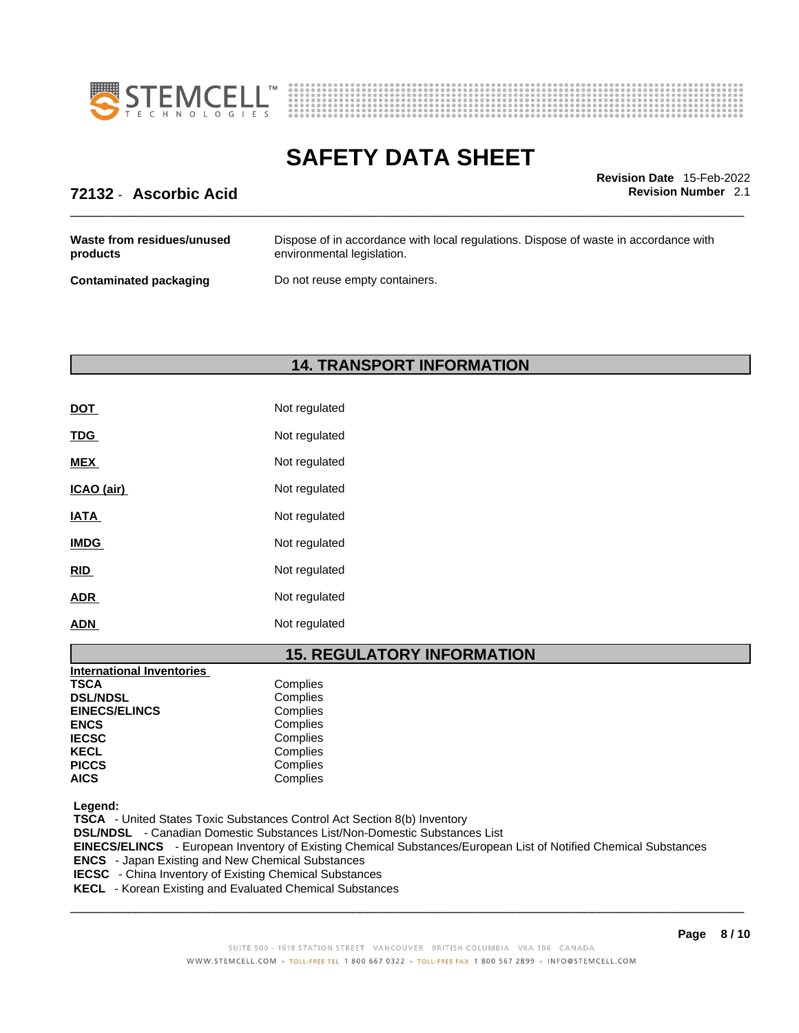



\_\_\_\_\_\_\_\_\_\_\_\_\_\_\_\_\_\_\_\_\_\_\_\_\_\_\_\_\_\_\_\_\_\_\_\_\_\_\_\_\_\_\_\_\_\_\_\_\_\_\_\_\_\_\_\_\_\_\_\_\_\_\_\_\_\_\_\_\_\_\_\_\_\_\_\_\_\_\_\_\_\_\_\_\_\_\_\_\_\_\_\_\_ **Revision Date** 15-Feb-2022

### **72132** - **Ascorbic Acid Revision Number** 2.1

| Waste from residues/unused    | Dispose of in accordance with local regulations. Dispose of waste in accordance with |
|-------------------------------|--------------------------------------------------------------------------------------|
| products                      | environmental legislation.                                                           |
| <b>Contaminated packaging</b> | Do not reuse empty containers.                                                       |

### **14. TRANSPORT INFORMATION**

| <b>DOT</b>  | Not regulated |
|-------------|---------------|
| <b>TDG</b>  | Not regulated |
| <b>MEX</b>  | Not regulated |
| ICAO (air)  | Not regulated |
| <b>IATA</b> | Not regulated |
| <b>IMDG</b> | Not regulated |
| <b>RID</b>  | Not regulated |
| <b>ADR</b>  | Not regulated |
| <b>ADN</b>  | Not regulated |

### **15. REGULATORY INFORMATION**

| <b>International Inventories</b> |          |
|----------------------------------|----------|
| <b>TSCA</b>                      | Complies |
| <b>DSL/NDSL</b>                  | Complies |
| <b>EINECS/ELINCS</b>             | Complies |
| <b>ENCS</b>                      | Complies |
| <b>IECSC</b>                     | Complies |
| <b>KECL</b>                      | Complies |
| <b>PICCS</b>                     | Complies |
| <b>AICS</b>                      | Complies |

 **Legend:** 

 **TSCA** - United States Toxic Substances Control Act Section 8(b) Inventory  **DSL/NDSL** - Canadian Domestic Substances List/Non-Domestic Substances List  **EINECS/ELINCS** - European Inventory of Existing Chemical Substances/European List of Notified Chemical Substances  **ENCS** - Japan Existing and New Chemical Substances  **IECSC** - China Inventory of Existing Chemical Substances  **KECL** - Korean Existing and Evaluated Chemical Substances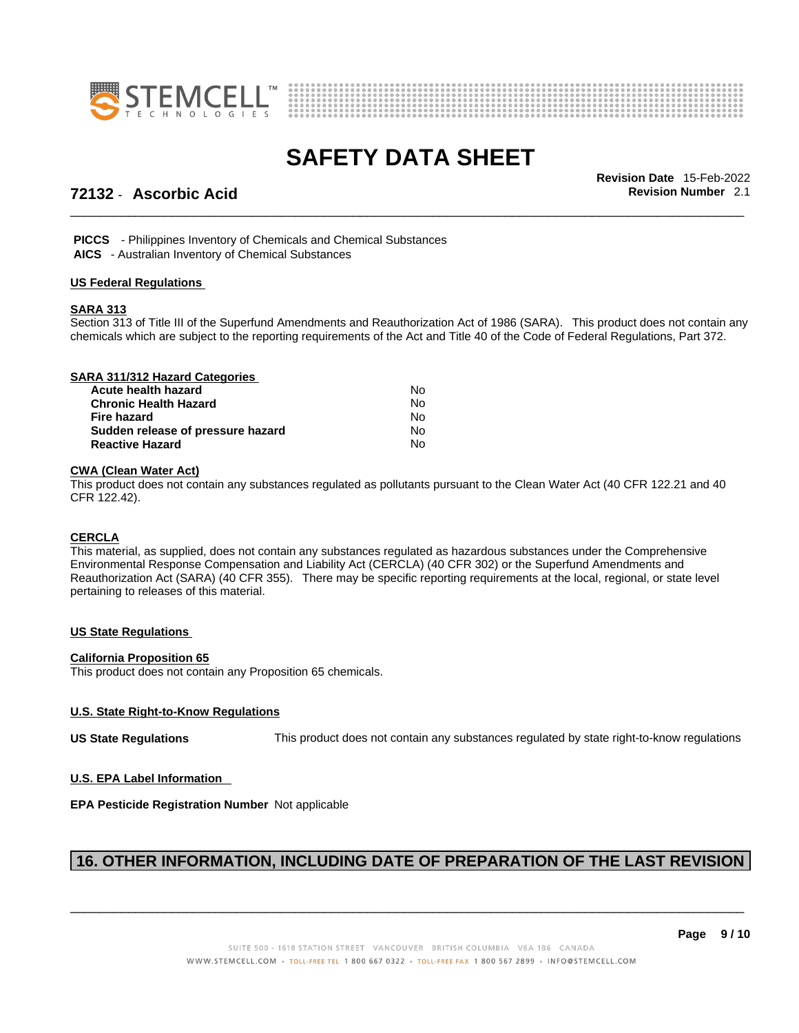



**72132** - **Ascorbic Acid Revision Number** 2.1

\_\_\_\_\_\_\_\_\_\_\_\_\_\_\_\_\_\_\_\_\_\_\_\_\_\_\_\_\_\_\_\_\_\_\_\_\_\_\_\_\_\_\_\_\_\_\_\_\_\_\_\_\_\_\_\_\_\_\_\_\_\_\_\_\_\_\_\_\_\_\_\_\_\_\_\_\_\_\_\_\_\_\_\_\_\_\_\_\_\_\_\_\_ **Revision Date** 15-Feb-2022

 **PICCS** - Philippines Inventory of Chemicals and Chemical Substances  **AICS** - Australian Inventory of Chemical Substances

#### **US Federal Regulations**

#### **SARA 313**

Section 313 of Title III of the Superfund Amendments and Reauthorization Act of 1986 (SARA). This product does not contain any chemicals which are subject to the reporting requirements of the Act and Title 40 of the Code of Federal Regulations, Part 372.

| SARA 311/312 Hazard Categories    |           |  |
|-----------------------------------|-----------|--|
| Acute health hazard               | No        |  |
| <b>Chronic Health Hazard</b>      | No        |  |
| Fire hazard                       | No        |  |
| Sudden release of pressure hazard | <b>No</b> |  |
| <b>Reactive Hazard</b>            | No        |  |

#### **CWA** (Clean Water Act)

This product does not contain any substances regulated as pollutants pursuant to the Clean Water Act (40 CFR 122.21 and 40 CFR 122.42).

#### **CERCLA**

This material, as supplied, does not contain any substances regulated as hazardous substances under the Comprehensive Environmental Response Compensation and Liability Act (CERCLA) (40 CFR 302) or the Superfund Amendments and Reauthorization Act (SARA) (40 CFR 355). There may be specific reporting requirements at the local, regional, or state level pertaining to releases of this material.

#### **US State Regulations**

#### **California Proposition 65**

This product does not contain any Proposition 65 chemicals.

#### **U.S. State Right-to-Know Regulations**

**US State Regulations** This product does not contain any substances regulated by state right-to-know regulations

#### **U.S. EPA Label Information**

**EPA Pesticide Registration Number** Not applicable

### **16. OTHER INFORMATION, INCLUDING DATE OF PREPARATION OF THE LAST REVISION**